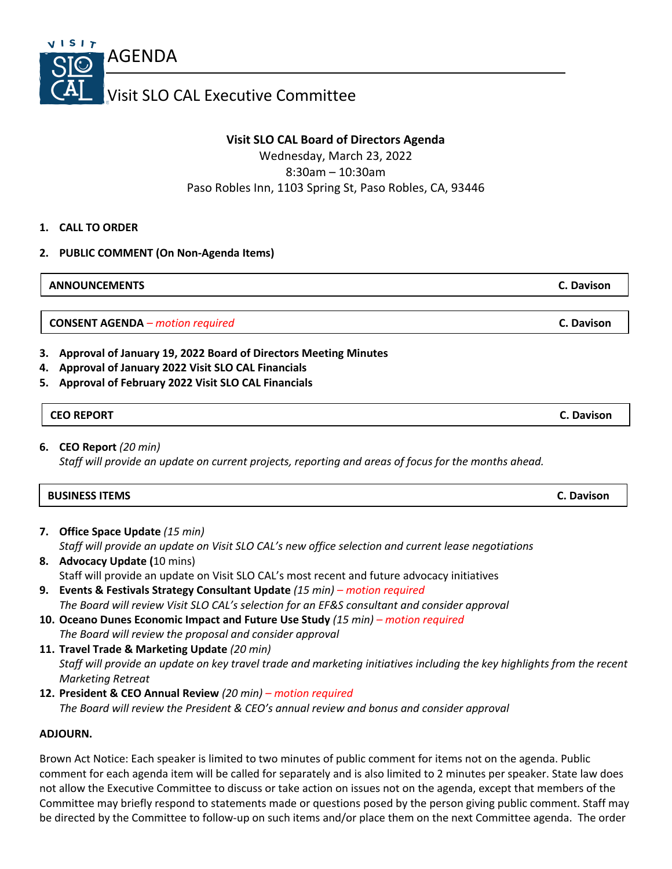

## **Visit SLO CAL Board of Directors Agenda**

Wednesday, March 23, 2022 8:30am – 10:30am Paso Robles Inn, 1103 Spring St, Paso Robles, CA, 93446

## **1. CALL TO ORDER**

**2. PUBLIC COMMENT (On Non-Agenda Items)**

**ANNOUNCEMENTS C. Davison**

**CONSENT AGENDA** *– motion required* **C. Davison**

- **3. Approval of January 19, 2022 Board of Directors Meeting Minutes**
- **4. Approval of January 2022 Visit SLO CAL Financials**
- **5. Approval of February 2022 Visit SLO CAL Financials**

## **CEO REPORT C. Davison**

**6. CEO Report** *(20 min) Staff will provide an update on current projects, reporting and areas of focus for the months ahead.*

| <b>BUSINESS ITEMS</b><br><b>C. Davison</b> |  |
|--------------------------------------------|--|
|--------------------------------------------|--|

- **7. Office Space Update** *(15 min) Staff will provide an update on Visit SLO CAL's new office selection and current lease negotiations*
- **8. Advocacy Update (**10 mins) Staff will provide an update on Visit SLO CAL's most recent and future advocacy initiatives
- **9. Events & Festivals Strategy Consultant Update** *(15 min) – motion required The Board will review Visit SLO CAL's selection for an EF&S consultant and consider approval*
- **10. Oceano Dunes Economic Impact and Future Use Study** *(15 min) – motion required The Board will review the proposal and consider approval*
- **11. Travel Trade & Marketing Update** *(20 min) Staff will provide an update on key travel trade and marketing initiatives including the key highlights from the recent Marketing Retreat*
- **12. President & CEO Annual Review** *(20 min) – motion required The Board will review the President & CEO's annual review and bonus and consider approval*

## **ADJOURN.**

Brown Act Notice: Each speaker is limited to two minutes of public comment for items not on the agenda. Public comment for each agenda item will be called for separately and is also limited to 2 minutes per speaker. State law does not allow the Executive Committee to discuss or take action on issues not on the agenda, except that members of the Committee may briefly respond to statements made or questions posed by the person giving public comment. Staff may be directed by the Committee to follow-up on such items and/or place them on the next Committee agenda. The order